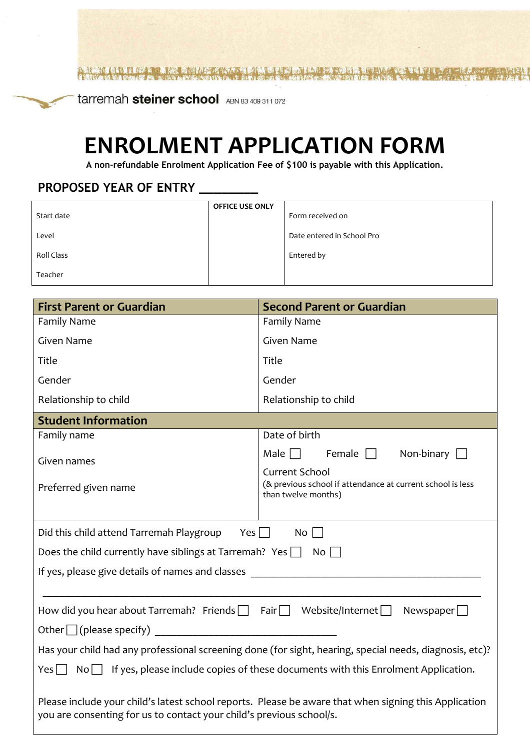tarremah steiner school ABN 83 409 311 072

# **ENROLMENT APPLICATION FORM**

**A non-refundable Enrolment Application Fee of \$100 is payable with this Application.**

# **PROPOSED YEAR OF ENTRY \_\_\_\_\_\_\_\_**

|                   | <b>OFFICE USE ONLY</b> |                            |
|-------------------|------------------------|----------------------------|
| Start date        |                        | Form received on           |
| Level             |                        | Date entered in School Pro |
| <b>Roll Class</b> |                        | Entered by                 |
| Teacher           |                        |                            |

| <b>First Parent or Guardian</b>                                                                                                                                               | <b>Second Parent or Guardian</b>                                                                           |  |  |  |
|-------------------------------------------------------------------------------------------------------------------------------------------------------------------------------|------------------------------------------------------------------------------------------------------------|--|--|--|
| <b>Family Name</b>                                                                                                                                                            | <b>Family Name</b>                                                                                         |  |  |  |
| <b>Given Name</b>                                                                                                                                                             | Given Name                                                                                                 |  |  |  |
| Title                                                                                                                                                                         | Title                                                                                                      |  |  |  |
| Gender                                                                                                                                                                        | Gender                                                                                                     |  |  |  |
| Relationship to child                                                                                                                                                         | Relationship to child                                                                                      |  |  |  |
| <b>Student Information</b>                                                                                                                                                    |                                                                                                            |  |  |  |
| Family name                                                                                                                                                                   | Date of birth                                                                                              |  |  |  |
| Given names                                                                                                                                                                   | Male $\Box$<br>Female $\Box$<br>Non-binary                                                                 |  |  |  |
| Preferred given name                                                                                                                                                          | <b>Current School</b><br>(& previous school if attendance at current school is less<br>than twelve months) |  |  |  |
| Did this child attend Tarremah Playgroup<br>Yes $\Box$                                                                                                                        | No                                                                                                         |  |  |  |
| Does the child currently have siblings at Tarremah? Yes $\Box$                                                                                                                | $No$                                                                                                       |  |  |  |
| If yes, please give details of names and classes                                                                                                                              |                                                                                                            |  |  |  |
|                                                                                                                                                                               |                                                                                                            |  |  |  |
| How did you hear about Tarremah? Friends $\Box$ Fair $\Box$                                                                                                                   | Website/Internet $\Box$<br>Newspaper $\square$                                                             |  |  |  |
| Other $\Box$ (please specify)<br><u> 1980 - Jan Stein Berlin, amerikan berlin berlin berlin berlin berlin berlin berlin berlin berlin berlin berl</u>                         |                                                                                                            |  |  |  |
|                                                                                                                                                                               | Has your child had any professional screening done (for sight, hearing, special needs, diagnosis, etc)?    |  |  |  |
| If yes, please include copies of these documents with this Enrolment Application.<br>Yes <br>$No$                                                                             |                                                                                                            |  |  |  |
| Please include your child's latest school reports. Please be aware that when signing this Application<br>you are consenting for us to contact your child's previous school/s. |                                                                                                            |  |  |  |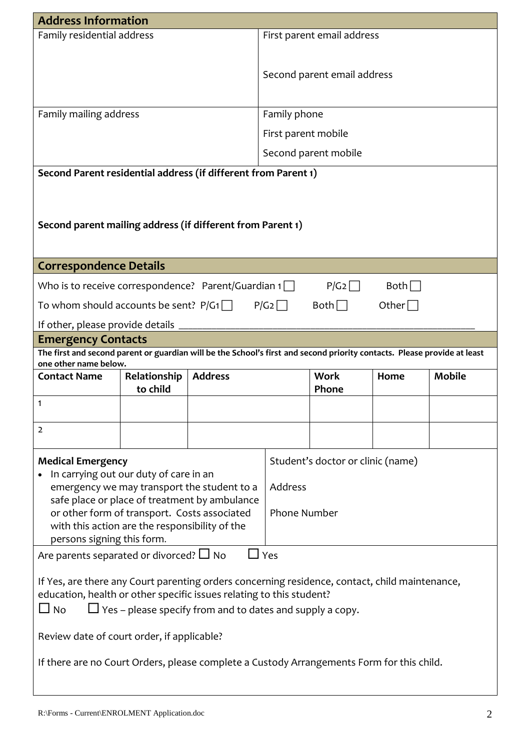| <b>Address Information</b>                                                                                                                        |                                                                                                                                          |                                                                                              |                            |                                   |                                            |               |  |  |  |
|---------------------------------------------------------------------------------------------------------------------------------------------------|------------------------------------------------------------------------------------------------------------------------------------------|----------------------------------------------------------------------------------------------|----------------------------|-----------------------------------|--------------------------------------------|---------------|--|--|--|
| Family residential address                                                                                                                        |                                                                                                                                          |                                                                                              | First parent email address |                                   |                                            |               |  |  |  |
|                                                                                                                                                   |                                                                                                                                          |                                                                                              |                            |                                   |                                            |               |  |  |  |
|                                                                                                                                                   |                                                                                                                                          |                                                                                              |                            | Second parent email address       |                                            |               |  |  |  |
|                                                                                                                                                   |                                                                                                                                          |                                                                                              |                            |                                   |                                            |               |  |  |  |
| Family mailing address                                                                                                                            |                                                                                                                                          |                                                                                              | Family phone               |                                   |                                            |               |  |  |  |
|                                                                                                                                                   |                                                                                                                                          |                                                                                              | First parent mobile        |                                   |                                            |               |  |  |  |
|                                                                                                                                                   |                                                                                                                                          |                                                                                              |                            | Second parent mobile              |                                            |               |  |  |  |
| Second Parent residential address (if different from Parent 1)                                                                                    |                                                                                                                                          |                                                                                              |                            |                                   |                                            |               |  |  |  |
|                                                                                                                                                   |                                                                                                                                          |                                                                                              |                            |                                   |                                            |               |  |  |  |
|                                                                                                                                                   |                                                                                                                                          |                                                                                              |                            |                                   |                                            |               |  |  |  |
| Second parent mailing address (if different from Parent 1)                                                                                        |                                                                                                                                          |                                                                                              |                            |                                   |                                            |               |  |  |  |
|                                                                                                                                                   |                                                                                                                                          |                                                                                              |                            |                                   |                                            |               |  |  |  |
| <b>Correspondence Details</b>                                                                                                                     |                                                                                                                                          |                                                                                              |                            |                                   |                                            |               |  |  |  |
| Who is to receive correspondence? Parent/Guardian $1\Box$                                                                                         |                                                                                                                                          |                                                                                              |                            | P/G2                              | Both                                       |               |  |  |  |
| To whom should accounts be sent? $P/G1$                                                                                                           |                                                                                                                                          |                                                                                              | P/G2                       | $Both \Box$                       | Other $\Box$                               |               |  |  |  |
| If other, please provide details                                                                                                                  |                                                                                                                                          |                                                                                              |                            |                                   |                                            |               |  |  |  |
| <b>Emergency Contacts</b>                                                                                                                         |                                                                                                                                          |                                                                                              |                            |                                   |                                            |               |  |  |  |
| The first and second parent or guardian will be the School's first and second priority contacts. Please provide at least<br>one other name below. |                                                                                                                                          |                                                                                              |                            |                                   |                                            |               |  |  |  |
| <b>Contact Name</b>                                                                                                                               | Relationship                                                                                                                             | <b>Address</b>                                                                               |                            | <b>Work</b>                       | Home                                       | <b>Mobile</b> |  |  |  |
|                                                                                                                                                   | to child                                                                                                                                 |                                                                                              |                            | Phone                             |                                            |               |  |  |  |
| 1                                                                                                                                                 |                                                                                                                                          |                                                                                              |                            |                                   |                                            |               |  |  |  |
| 2                                                                                                                                                 |                                                                                                                                          |                                                                                              |                            |                                   |                                            |               |  |  |  |
| <b>Medical Emergency</b>                                                                                                                          |                                                                                                                                          |                                                                                              |                            | Student's doctor or clinic (name) |                                            |               |  |  |  |
| In carrying out our duty of care in an                                                                                                            |                                                                                                                                          |                                                                                              |                            |                                   |                                            |               |  |  |  |
|                                                                                                                                                   |                                                                                                                                          | emergency we may transport the student to a<br>safe place or place of treatment by ambulance | Address                    |                                   |                                            |               |  |  |  |
| or other form of transport. Costs associated                                                                                                      |                                                                                                                                          |                                                                                              | <b>Phone Number</b>        |                                   |                                            |               |  |  |  |
| with this action are the responsibility of the                                                                                                    |                                                                                                                                          |                                                                                              |                            |                                   |                                            |               |  |  |  |
| persons signing this form.<br>Are parents separated or divorced? $\Box$ No                                                                        |                                                                                                                                          | $\Box$ Yes                                                                                   |                            |                                   |                                            |               |  |  |  |
|                                                                                                                                                   |                                                                                                                                          |                                                                                              |                            |                                   |                                            |               |  |  |  |
| If Yes, are there any Court parenting orders concerning residence, contact, child maintenance,                                                    |                                                                                                                                          |                                                                                              |                            |                                   |                                            |               |  |  |  |
| $\Box$ No                                                                                                                                         | education, health or other specific issues relating to this student?<br>$\Box$ Yes – please specify from and to dates and supply a copy. |                                                                                              |                            |                                   |                                            |               |  |  |  |
|                                                                                                                                                   |                                                                                                                                          |                                                                                              |                            |                                   |                                            |               |  |  |  |
|                                                                                                                                                   |                                                                                                                                          |                                                                                              |                            |                                   | Review date of court order, if applicable? |               |  |  |  |
|                                                                                                                                                   |                                                                                                                                          |                                                                                              |                            |                                   |                                            |               |  |  |  |
| If there are no Court Orders, please complete a Custody Arrangements Form for this child.                                                         |                                                                                                                                          |                                                                                              |                            |                                   |                                            |               |  |  |  |
|                                                                                                                                                   |                                                                                                                                          |                                                                                              |                            |                                   |                                            |               |  |  |  |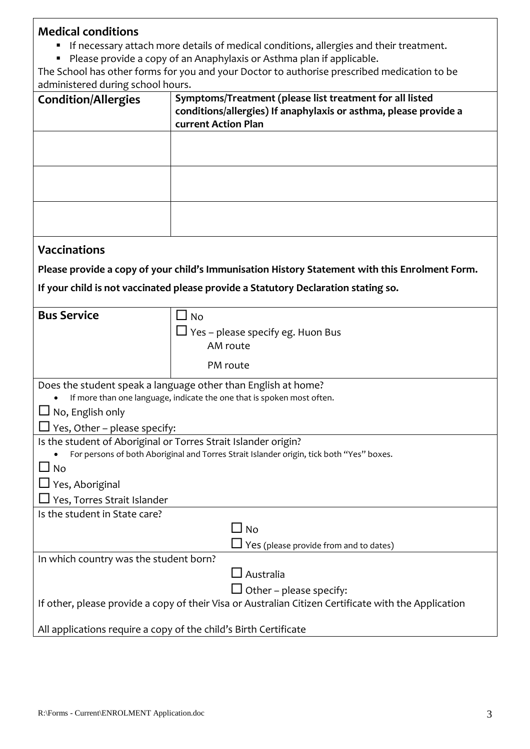# **Medical conditions**

- If necessary attach more details of medical conditions, allergies and their treatment.
- Please provide a copy of an Anaphylaxis or Asthma plan if applicable.

The School has other forms for you and your Doctor to authorise prescribed medication to be administered during school hours.

| <b>Condition/Allergies</b>                                     | Symptoms/Treatment (please list treatment for all listed                                                                        |
|----------------------------------------------------------------|---------------------------------------------------------------------------------------------------------------------------------|
|                                                                | conditions/allergies) If anaphylaxis or asthma, please provide a                                                                |
|                                                                | current Action Plan                                                                                                             |
|                                                                |                                                                                                                                 |
|                                                                |                                                                                                                                 |
|                                                                |                                                                                                                                 |
|                                                                |                                                                                                                                 |
|                                                                |                                                                                                                                 |
|                                                                |                                                                                                                                 |
| <b>Vaccinations</b>                                            |                                                                                                                                 |
|                                                                | Please provide a copy of your child's Immunisation History Statement with this Enrolment Form.                                  |
|                                                                | If your child is not vaccinated please provide a Statutory Declaration stating so.                                              |
|                                                                |                                                                                                                                 |
| <b>Bus Service</b>                                             | $\Box$ No                                                                                                                       |
|                                                                | $\Box$ Yes – please specify eg. Huon Bus                                                                                        |
|                                                                | AM route                                                                                                                        |
|                                                                | PM route                                                                                                                        |
|                                                                | Does the student speak a language other than English at home?                                                                   |
|                                                                | If more than one language, indicate the one that is spoken most often.                                                          |
| $\Box$ No, English only                                        |                                                                                                                                 |
| $\Box$ Yes, Other – please specify:                            |                                                                                                                                 |
| Is the student of Aboriginal or Torres Strait Islander origin? |                                                                                                                                 |
|                                                                | For persons of both Aboriginal and Torres Strait Islander origin, tick both "Yes" boxes.                                        |
| <b>No</b>                                                      |                                                                                                                                 |
| Yes, Aboriginal                                                |                                                                                                                                 |
| Yes, Torres Strait Islander                                    |                                                                                                                                 |
| Is the student in State care?                                  |                                                                                                                                 |
|                                                                | $\Box$ No                                                                                                                       |
|                                                                | $\Box$ Yes (please provide from and to dates)                                                                                   |
| In which country was the student born?                         | $\Box$ Australia                                                                                                                |
|                                                                |                                                                                                                                 |
|                                                                | Other - please specify:<br>If other, please provide a copy of their Visa or Australian Citizen Certificate with the Application |
|                                                                | All applications require a copy of the child's Birth Certificate                                                                |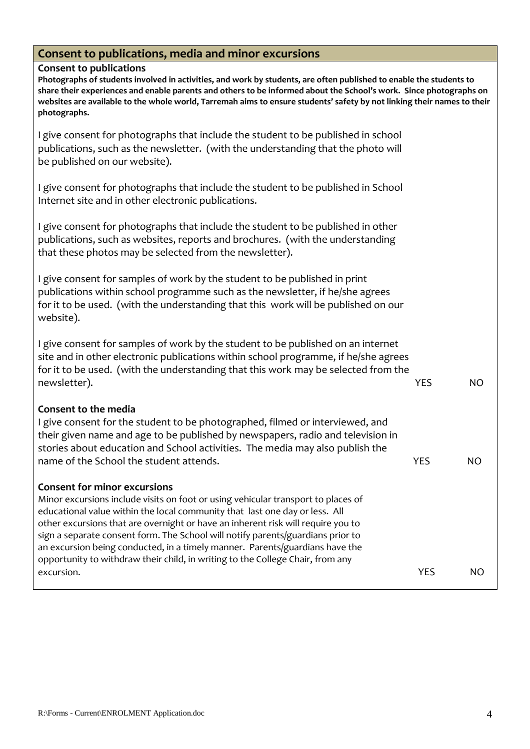## **Consent to publications, media and minor excursions**

#### **Consent to publications**

**Photographs of students involved in activities, and work by students, are often published to enable the students to share their experiences and enable parents and others to be informed about the School's work. Since photographs on websites are available to the whole world, Tarremah aims to ensure students' safety by not linking their names to their photographs.**

I give consent for photographs that include the student to be published in school publications, such as the newsletter. (with the understanding that the photo will be published on our website).

I give consent for photographs that include the student to be published in School Internet site and in other electronic publications.

I give consent for photographs that include the student to be published in other publications, such as websites, reports and brochures. (with the understanding that these photos may be selected from the newsletter).

I give consent for samples of work by the student to be published in print publications within school programme such as the newsletter, if he/she agrees for it to be used. (with the understanding that this work will be published on our website).

I give consent for samples of work by the student to be published on an internet site and in other electronic publications within school programme, if he/she agrees for it to be used. (with the understanding that this work may be selected from the newsletter). YES NO

#### **Consent to the media**

I give consent for the student to be photographed, filmed or interviewed, and their given name and age to be published by newspapers, radio and television in stories about education and School activities. The media may also publish the name of the School the student attends. The No of the School the School the School attends.

#### **Consent for minor excursions**

Minor excursions include visits on foot or using vehicular transport to places of educational value within the local community that last one day or less. All other excursions that are overnight or have an inherent risk will require you to sign a separate consent form. The School will notify parents/guardians prior to an excursion being conducted, in a timely manner. Parents/guardians have the opportunity to withdraw their child, in writing to the College Chair, from any excursion. Note that the security of the security of the security of the security of the North Security of the No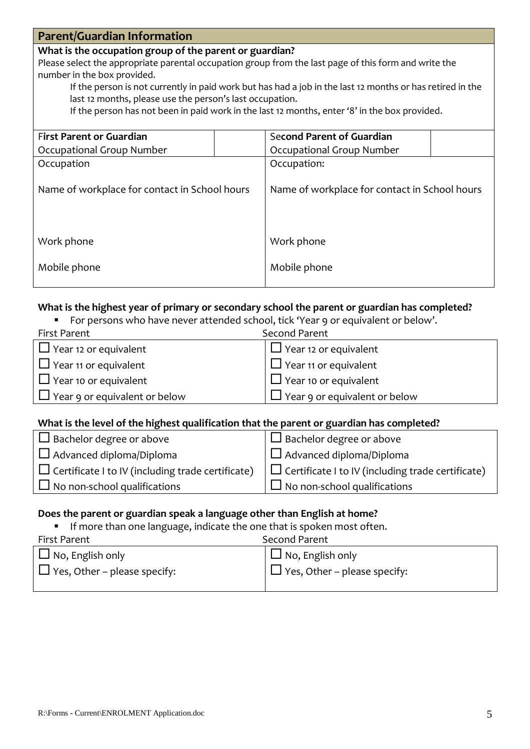# **Parent/Guardian Information**

#### **What is the occupation group of the parent or guardian?**

Please select the appropriate parental occupation group from the last page of this form and write the number in the box provided.

 If the person is not currently in paid work but has had a job in the last 12 months or has retired in the last 12 months, please use the person's last occupation.

If the person has not been in paid work in the last 12 months, enter '8' in the box provided.

| <b>First Parent or Guardian</b>               | <b>Second Parent of Guardian</b>              |  |  |
|-----------------------------------------------|-----------------------------------------------|--|--|
| Occupational Group Number                     | Occupational Group Number                     |  |  |
| Occupation                                    | Occupation:                                   |  |  |
| Name of workplace for contact in School hours | Name of workplace for contact in School hours |  |  |
| Work phone                                    | Work phone                                    |  |  |
| Mobile phone                                  | Mobile phone                                  |  |  |

#### **What is the highest year of primary or secondary school the parent or guardian has completed?**

For persons who have never attended school, tick 'Year 9 or equivalent or below'.

| First Parent                         | Second Parent                        |
|--------------------------------------|--------------------------------------|
| $\Box$ Year 12 or equivalent         | $\Box$ Year 12 or equivalent         |
| $\Box$ Year 11 or equivalent         | $\Box$ Year 11 or equivalent         |
| $\Box$ Year 10 or equivalent         | $\Box$ Year 10 or equivalent         |
| $\Box$ Year 9 or equivalent or below | $\Box$ Year 9 or equivalent or below |

#### **What is the level of the highest qualification that the parent or guardian has completed?**

| $\Box$ Bachelor degree or above                          |
|----------------------------------------------------------|
| $\Box$ Advanced diploma/Diploma                          |
| $\Box$ Certificate I to IV (including trade certificate) |
| $\Box$ No non-school qualifications                      |
|                                                          |

#### **Does the parent or guardian speak a language other than English at home?**

**If more than one language, indicate the one that is spoken most often.** 

| First Parent                        | Second Parent                       |
|-------------------------------------|-------------------------------------|
| $\Box$ No, English only             | $\Box$ No, English only             |
| $\Box$ Yes, Other – please specify: | $\Box$ Yes, Other – please specify: |
|                                     |                                     |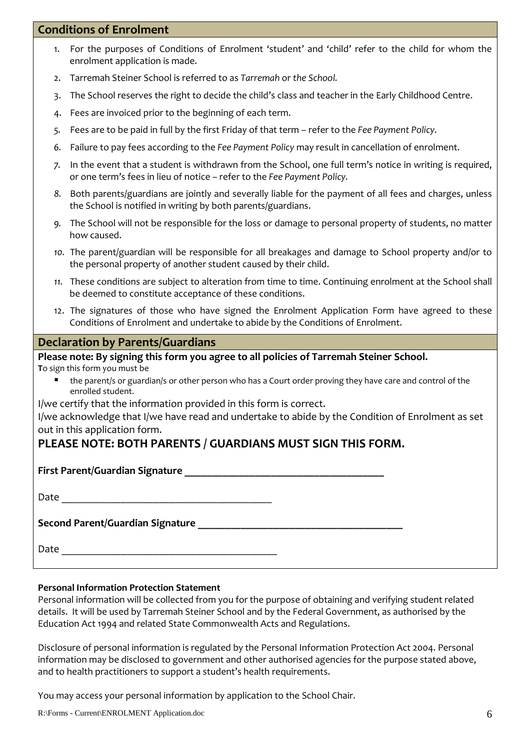## **Conditions of Enrolment**

| 1. For the purposes of Conditions of Enrolment 'student' and 'child' refer to the child for whom the |  |  |  |  |  |
|------------------------------------------------------------------------------------------------------|--|--|--|--|--|
| enrolment application is made.                                                                       |  |  |  |  |  |

- 2. Tarremah Steiner School is referred to as *Tarremah* or *the School.*
- 3. The School reserves the right to decide the child's class and teacher in the Early Childhood Centre.
- 4. Fees are invoiced prior to the beginning of each term.
- *5.* Fees are to be paid in full by the first Friday of that term refer to the *Fee Payment Policy.*
- *6.* Failure to pay fees according to the *Fee Payment Policy* may result in cancellation of enrolment.
- *7.* In the event that a student is withdrawn from the School, one full term's notice in writing is required, or one term's fees in lieu of notice – refer to the *Fee Payment Policy.*
- *8.* Both parents/guardians are jointly and severally liable for the payment of all fees and charges, unless the School is notified in writing by both parents/guardians.
- *9.* The School will not be responsible for the loss or damage to personal property of students, no matter how caused.
- *10.* The parent/guardian will be responsible for all breakages and damage to School property and/or to the personal property of another student caused by their child.
- *11.* These conditions are subject to alteration from time to time. Continuing enrolment at the School shall be deemed to constitute acceptance of these conditions.
- 12. The signatures of those who have signed the Enrolment Application Form have agreed to these Conditions of Enrolment and undertake to abide by the Conditions of Enrolment.

#### **Declaration by Parents/Guardians**

**Please note: By signing this form you agree to all policies of Tarremah Steiner School. T**o sign this form you must be

 the parent/s or guardian/s or other person who has a Court order proving they have care and control of the enrolled student.

I/we certify that the information provided in this form is correct.

I/we acknowledge that I/we have read and undertake to abide by the Condition of Enrolment as set out in this application form.

## **PLEASE NOTE: BOTH PARENTS / GUARDIANS MUST SIGN THIS FORM.**

**First Parent/Guardian Signature \_\_\_\_\_\_\_\_\_\_\_\_\_\_\_\_\_\_\_\_\_\_\_\_\_\_\_\_\_\_\_\_\_\_\_\_\_**

| Date |  |  |  |
|------|--|--|--|
|      |  |  |  |

**Second Parent/Guardian Signature \_\_\_\_\_\_\_\_\_\_\_\_\_\_\_\_\_\_\_\_\_\_\_\_\_\_\_\_\_\_\_\_\_\_\_\_\_\_**

Date

#### **Personal Information Protection Statement**

Personal information will be collected from you for the purpose of obtaining and verifying student related details. It will be used by Tarremah Steiner School and by the Federal Government, as authorised by the Education Act 1994 and related State Commonwealth Acts and Regulations.

Disclosure of personal information is regulated by the Personal Information Protection Act 2004. Personal information may be disclosed to government and other authorised agencies for the purpose stated above, and to health practitioners to support a student's health requirements.

You may access your personal information by application to the School Chair.

R:\Forms - Current\ENROLMENT Application.doc 6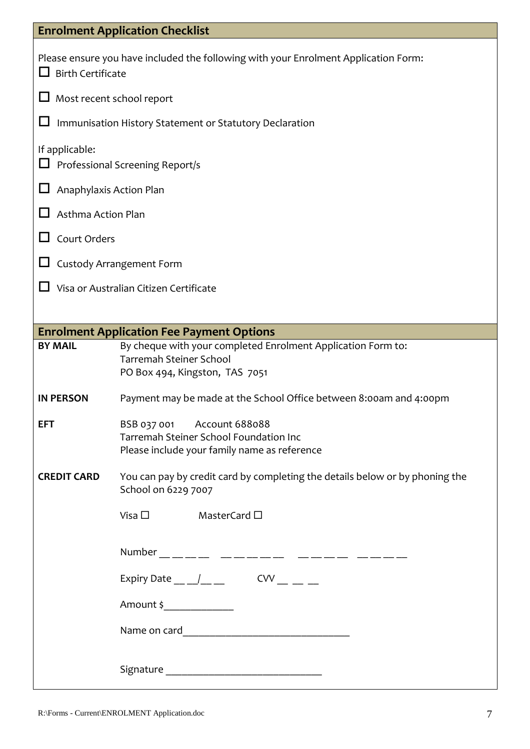|                           | <b>Enrolment Application Checklist</b>                                                                                           |
|---------------------------|----------------------------------------------------------------------------------------------------------------------------------|
| <b>Birth Certificate</b>  | Please ensure you have included the following with your Enrolment Application Form:                                              |
| Most recent school report |                                                                                                                                  |
|                           | Immunisation History Statement or Statutory Declaration                                                                          |
| If applicable:            | Professional Screening Report/s                                                                                                  |
| Anaphylaxis Action Plan   |                                                                                                                                  |
| <b>Asthma Action Plan</b> |                                                                                                                                  |
| Court Orders              |                                                                                                                                  |
|                           | <b>Custody Arrangement Form</b>                                                                                                  |
|                           | Visa or Australian Citizen Certificate                                                                                           |
|                           |                                                                                                                                  |
|                           | <b>Enrolment Application Fee Payment Options</b>                                                                                 |
| <b>BY MAIL</b>            | By cheque with your completed Enrolment Application Form to:<br><b>Tarremah Steiner School</b><br>PO Box 494, Kingston, TAS 7051 |
| <b>IN PERSON</b>          | Payment may be made at the School Office between 8:00am and 4:00pm                                                               |
| <b>EFT</b>                | BSB 037 001 Account 688088<br>Tarremah Steiner School Foundation Inc<br>Please include your family name as reference             |
| <b>CREDIT CARD</b>        | You can pay by credit card by completing the details below or by phoning the<br>School on 6229 7007                              |
|                           | Visa $\square$ MasterCard $\square$                                                                                              |
|                           |                                                                                                                                  |
|                           | Expiry Date __ _/__ __ CVV __ __ _                                                                                               |
|                           | Amount \$                                                                                                                        |
|                           |                                                                                                                                  |
|                           |                                                                                                                                  |

 $\overline{\phantom{a}}$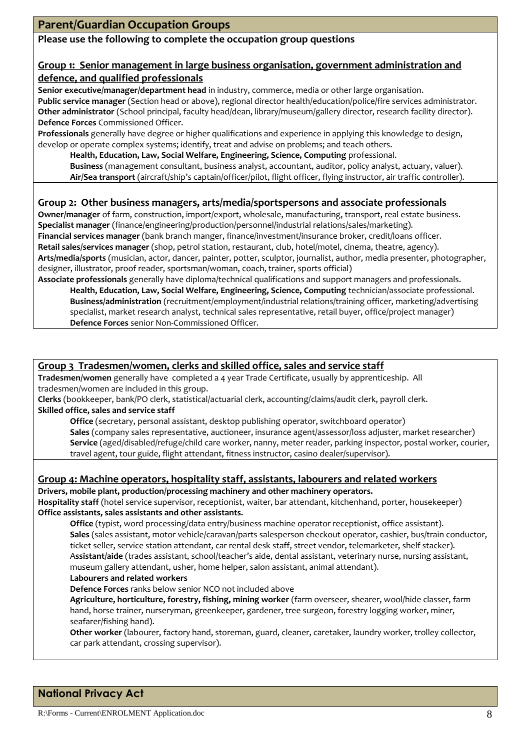#### **Please use the following to complete the occupation group questions**

#### **Group 1: Senior management in large business organisation, government administration and defence, and qualified professionals**

**Senior executive/manager/department head** in industry, commerce, media or other large organisation. **Public service manager** (Section head or above), regional director health/education/police/fire services administrator. **Other administrator** (School principal, faculty head/dean, library/museum/gallery director, research facility director). **Defence Forces** Commissioned Officer.

**Professionals** generally have degree or higher qualifications and experience in applying this knowledge to design, develop or operate complex systems; identify, treat and advise on problems; and teach others.

**Health, Education, Law, Social Welfare, Engineering, Science, Computing** professional.

**Business** (management consultant, business analyst, accountant, auditor, policy analyst, actuary, valuer). **Air/Sea transport** (aircraft/ship's captain/officer/pilot, flight officer, flying instructor, air traffic controller).

#### **Group 2: Other business managers, arts/media/sportspersons and associate professionals**

**Owner/manager** of farm, construction, import/export, wholesale, manufacturing, transport, real estate business. **Specialist manager** (finance/engineering/production/personnel/industrial relations/sales/marketing). **Financial services manager** (bank branch manger, finance/investment/insurance broker, credit/loans officer. **Retail sales/services manager** (shop, petrol station, restaurant, club, hotel/motel, cinema, theatre, agency). **Arts/media/sports** (musician, actor, dancer, painter, potter, sculptor, journalist, author, media presenter, photographer, designer, illustrator, proof reader, sportsman/woman, coach, trainer, sports official) **Associate professionals** generally have diploma/technical qualifications and support managers and professionals.

**Health, Education, Law, Social Welfare, Engineering, Science, Computing** technician/associate professional. **Business/administration** (recruitment/employment/industrial relations/training officer, marketing/advertising specialist, market research analyst, technical sales representative, retail buyer, office/project manager) **Defence Forces** senior Non-Commissioned Officer.

#### **Group 3 Tradesmen/women, clerks and skilled office, sales and service staff**

**Tradesmen/women** generally have completed a 4 year Trade Certificate, usually by apprenticeship. All tradesmen/women are included in this group.

**Clerks** (bookkeeper, bank/PO clerk, statistical/actuarial clerk, accounting/claims/audit clerk, payroll clerk. **Skilled office, sales and service staff**

**Office** (secretary, personal assistant, desktop publishing operator, switchboard operator) **Sales** (company sales representative, auctioneer, insurance agent/assessor/loss adjuster, market researcher) **Service** (aged/disabled/refuge/child care worker, nanny, meter reader, parking inspector, postal worker, courier, travel agent, tour guide, flight attendant, fitness instructor, casino dealer/supervisor).

#### **Group 4: Machine operators, hospitality staff, assistants, labourers and related workers**

**Drivers, mobile plant, production/processing machinery and other machinery operators. Hospitality staff** (hotel service supervisor, receptionist, waiter, bar attendant, kitchenhand, porter, housekeeper) **Office assistants, sales assistants and other assistants.**

**Office** (typist, word processing/data entry/business machine operator receptionist, office assistant). **Sales** (sales assistant, motor vehicle/caravan/parts salesperson checkout operator, cashier, bus/train conductor, ticket seller, service station attendant, car rental desk staff, street vendor, telemarketer, shelf stacker). A**ssistant/aide** (trades assistant, school/teacher's aide, dental assistant, veterinary nurse, nursing assistant, museum gallery attendant, usher, home helper, salon assistant, animal attendant).

#### **Labourers and related workers**

**Defence Forces** ranks below senior NCO not included above

**Agriculture, horticulture, forestry, fishing, mining worker** (farm overseer, shearer, wool/hide classer, farm hand, horse trainer, nurseryman, greenkeeper, gardener, tree surgeon, forestry logging worker, miner, seafarer/fishing hand).

**Other worker** (labourer, factory hand, storeman, guard, cleaner, caretaker, laundry worker, trolley collector, car park attendant, crossing supervisor).

## **National Privacy Act**